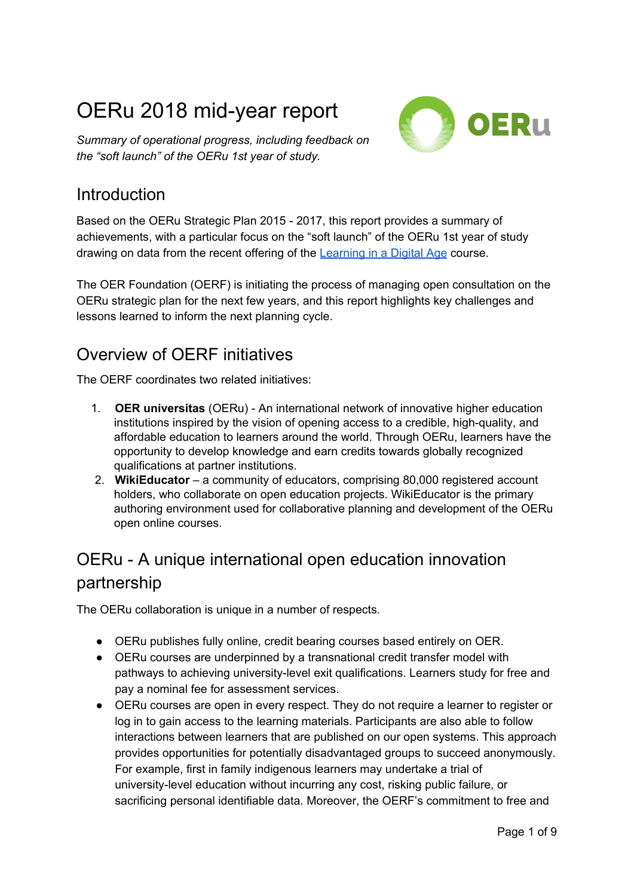# OERu 2018 mid-year report

*Summary of operational progress, including feedback on the "soft launch" of the OERu 1st year of study.*



### **Introduction**

Based on the OERu Strategic Plan 2015 - 2017, this report provides a summary of achievements, with a particular focus on the "soft launch" of the OERu 1st year of study drawing on data from the recent offering of the [Learning](https://oeru.org/learning-in-a-digital-age) in a Digital Age course.

The OER Foundation (OERF) is initiating the process of managing open consultation on the OERu strategic plan for the next few years, and this report highlights key challenges and lessons learned to inform the next planning cycle.

### Overview of OERF initiatives

The OERF coordinates two related initiatives:

- 1. **OER universitas** (OERu) An international network of innovative higher education institutions inspired by the vision of opening access to a credible, high-quality, and affordable education to learners around the world. Through OERu, learners have the opportunity to develop knowledge and earn credits towards globally recognized qualifications at partner institutions.
- 2. **WikiEducator** a community of educators, comprising 80,000 registered account holders, who collaborate on open education projects. WikiEducator is the primary authoring environment used for collaborative planning and development of the OERu open online courses.

# OERu - A unique international open education innovation partnership

The OERu collaboration is unique in a number of respects.

- OERu publishes fully online, credit bearing courses based entirely on OER.
- OERu courses are underpinned by a transnational credit transfer model with pathways to achieving university-level exit qualifications. Learners study for free and pay a nominal fee for assessment services.
- OERu courses are open in every respect. They do not require a learner to register or log in to gain access to the learning materials. Participants are also able to follow interactions between learners that are published on our open systems. This approach provides opportunities for potentially disadvantaged groups to succeed anonymously. For example, first in family indigenous learners may undertake a trial of university-level education without incurring any cost, risking public failure, or sacrificing personal identifiable data. Moreover, the OERF's commitment to free and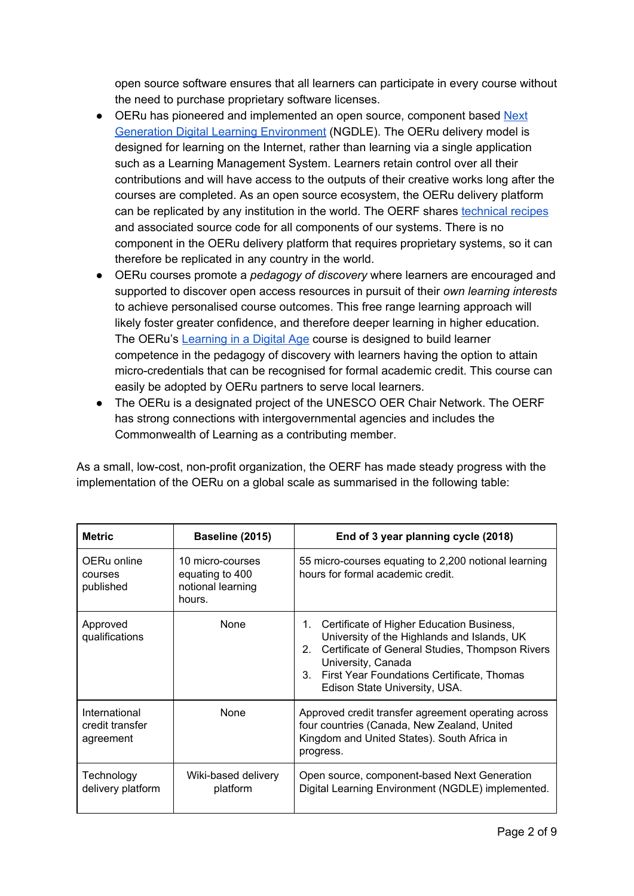open source software ensures that all learners can participate in every course without the need to purchase proprietary software licenses.

- OERu has pioneered and implemented an open source, component based [Next](https://library.educause.edu/resources/2015/12/7-things-you-should-know-about-ngdle) Generation Digital Learning [Environment](https://library.educause.edu/resources/2015/12/7-things-you-should-know-about-ngdle) (NGDLE). The OERu delivery model is designed for learning on the Internet, rather than learning via a single application such as a Learning Management System. Learners retain control over all their contributions and will have access to the outputs of their creative works long after the courses are completed. As an open source ecosystem, the OERu delivery platform can be replicated by any institution in the world. The OERF shares [technical](https://tech.oeru.org/) recipes and associated source code for all components of our systems. There is no component in the OERu delivery platform that requires proprietary systems, so it can therefore be replicated in any country in the world.
- OERu courses promote a *pedagogy of discovery* where learners are encouraged and supported to discover open access resources in pursuit of their *own learning interests* to achieve personalised course outcomes. This free range learning approach will likely foster greater confidence, and therefore deeper learning in higher education. The OERu's [Learning](https://oeru.org/learning-in-a-digital-age) in a Digital Age course is designed to build learner competence in the pedagogy of discovery with learners having the option to attain micro-credentials that can be recognised for formal academic credit. This course can easily be adopted by OERu partners to serve local learners.
- The OERu is a designated project of the UNESCO OER Chair Network. The OERF has strong connections with intergovernmental agencies and includes the Commonwealth of Learning as a contributing member.

As a small, low-cost, non-profit organization, the OERF has made steady progress with the implementation of the OERu on a global scale as summarised in the following table:

| <b>Metric</b>                                 | Baseline (2015)                                                    | End of 3 year planning cycle (2018)                                                                                                                                                                                                                                            |  |
|-----------------------------------------------|--------------------------------------------------------------------|--------------------------------------------------------------------------------------------------------------------------------------------------------------------------------------------------------------------------------------------------------------------------------|--|
| OERu online<br>courses<br>published           | 10 micro-courses<br>equating to 400<br>notional learning<br>hours. | 55 micro-courses equating to 2,200 notional learning<br>hours for formal academic credit.                                                                                                                                                                                      |  |
| Approved<br>qualifications                    | <b>None</b>                                                        | Certificate of Higher Education Business,<br>1.<br>University of the Highlands and Islands, UK<br>Certificate of General Studies, Thompson Rivers<br>2 <sub>1</sub><br>University, Canada<br>First Year Foundations Certificate, Thomas<br>3.<br>Edison State University, USA. |  |
| International<br>credit transfer<br>agreement | None                                                               | Approved credit transfer agreement operating across<br>four countries (Canada, New Zealand, United<br>Kingdom and United States). South Africa in<br>progress.                                                                                                                 |  |
| Technology<br>delivery platform               | Wiki-based delivery<br>platform                                    | Open source, component-based Next Generation<br>Digital Learning Environment (NGDLE) implemented.                                                                                                                                                                              |  |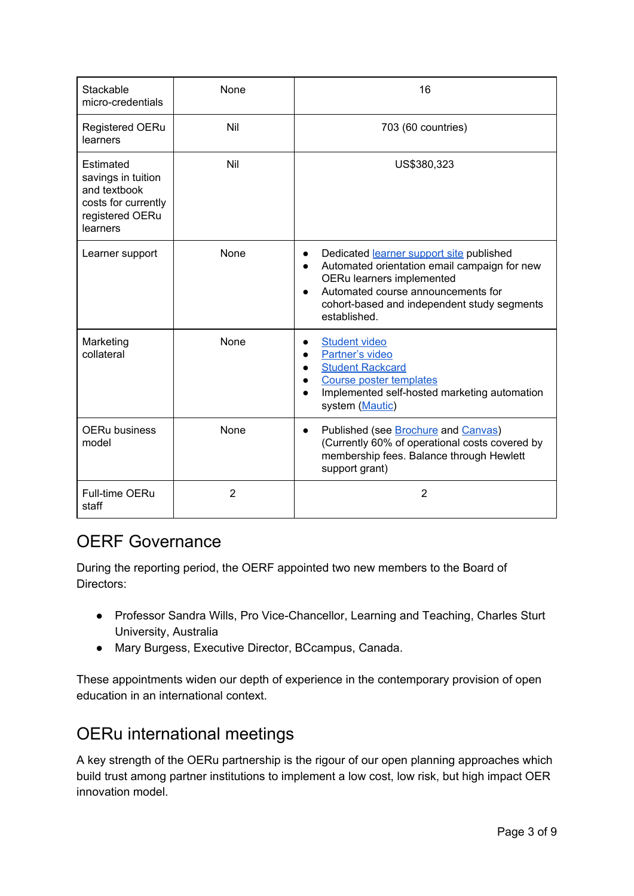| Stackable<br>micro-credentials                                                                        | None           | 16                                                                                                                                                                                                                                                                |
|-------------------------------------------------------------------------------------------------------|----------------|-------------------------------------------------------------------------------------------------------------------------------------------------------------------------------------------------------------------------------------------------------------------|
| <b>Registered OERu</b><br>learners                                                                    | Nil            | 703 (60 countries)                                                                                                                                                                                                                                                |
| Estimated<br>savings in tuition<br>and textbook<br>costs for currently<br>registered OERu<br>learners | Nil            | US\$380,323                                                                                                                                                                                                                                                       |
| Learner support                                                                                       | None           | Dedicated learner support site published<br>$\bullet$<br>Automated orientation email campaign for new<br>$\bullet$<br>OERu learners implemented<br>Automated course announcements for<br>$\bullet$<br>cohort-based and independent study segments<br>established. |
| Marketing<br>collateral                                                                               | None           | <b>Student video</b><br>Partner's video<br><b>Student Rackcard</b><br>Course poster templates<br>Implemented self-hosted marketing automation<br>system (Mautic)                                                                                                  |
| <b>OERu business</b><br>model                                                                         | None           | Published (see Brochure and Canvas)<br>$\bullet$<br>(Currently 60% of operational costs covered by<br>membership fees. Balance through Hewlett<br>support grant)                                                                                                  |
| <b>Full-time OERu</b><br>staff                                                                        | $\overline{2}$ | $\overline{2}$                                                                                                                                                                                                                                                    |

### OERF Governance

During the reporting period, the OERF appointed two new members to the Board of Directors:

- Professor Sandra Wills, Pro Vice-Chancellor, Learning and Teaching, Charles Sturt University, Australia
- Mary Burgess, Executive Director, BCcampus, Canada.

These appointments widen our depth of experience in the contemporary provision of open education in an international context.

# OERu international meetings

A key strength of the OERu partnership is the rigour of our open planning approaches which build trust among partner institutions to implement a low cost, low risk, but high impact OER innovation model.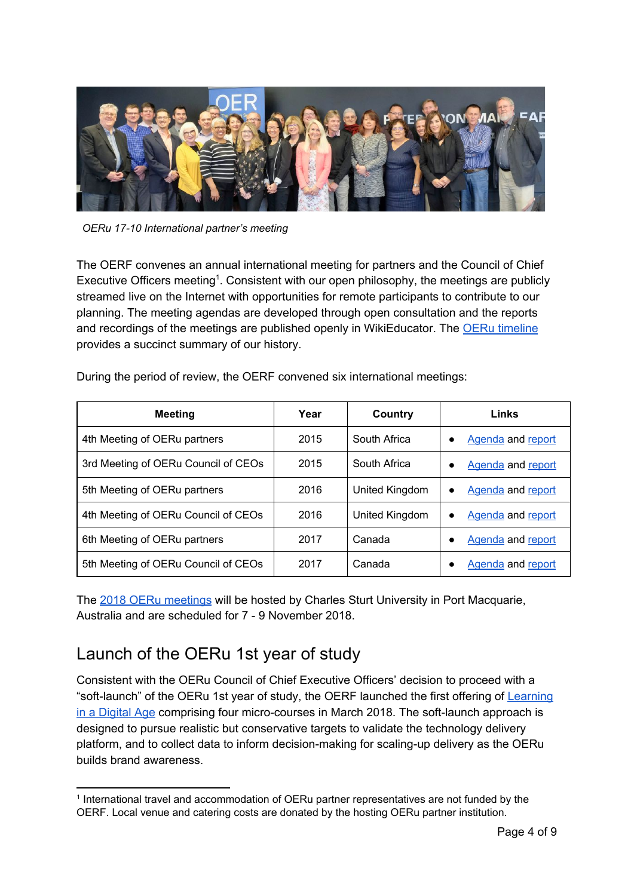

*OERu 17-10 International partner's meeting*

The OERF convenes an annual international meeting for partners and the Council of Chief Executive Officers meeting<sup>1</sup>. Consistent with our open philosophy, the meetings are publicly streamed live on the Internet with opportunities for remote participants to contribute to our planning. The meeting agendas are developed through open consultation and the reports and recordings of the meetings are published openly in WikiEducator. The **OERu** [timeline](https://oeru.org/history) provides a succinct summary of our history.

| During the period of review, the OERF convened six international meetings: |  |
|----------------------------------------------------------------------------|--|
|----------------------------------------------------------------------------|--|

| <b>Meeting</b>                      | Year | Country        | Links                          |
|-------------------------------------|------|----------------|--------------------------------|
| 4th Meeting of OERu partners        | 2015 | South Africa   | Agenda and report<br>٠         |
| 3rd Meeting of OERu Council of CEOs | 2015 | South Africa   | Agenda and report<br>٠         |
| 5th Meeting of OERu partners        | 2016 | United Kingdom | <b>Agenda</b> and report       |
| 4th Meeting of OERu Council of CEOs | 2016 | United Kingdom | Agenda and report<br>$\bullet$ |
| 6th Meeting of OERu partners        | 2017 | Canada         | Agenda and report<br>٠         |
| 5th Meeting of OERu Council of CEOs | 2017 | Canada         | Agenda and report              |

The 2018 OERu [meetings](https://course.oeru.org/2018-meetings/) will be hosted by Charles Sturt University in Port Macquarie, Australia and are scheduled for 7 - 9 November 2018.

### Launch of the OERu 1st year of study

Consistent with the OERu Council of Chief Executive Officers' decision to proceed with a "soft-launch" of the OERu 1st year of study, the OERF launched the first offering of [Learning](https://oeru.org/learning-in-a-digital-age) in a [Digital](https://oeru.org/learning-in-a-digital-age) Age comprising four micro-courses in March 2018. The soft-launch approach is designed to pursue realistic but conservative targets to validate the technology delivery platform, and to collect data to inform decision-making for scaling-up delivery as the OERu builds brand awareness.

<sup>1</sup> International travel and accommodation of OERu partner representatives are not funded by the OERF. Local venue and catering costs are donated by the hosting OERu partner institution.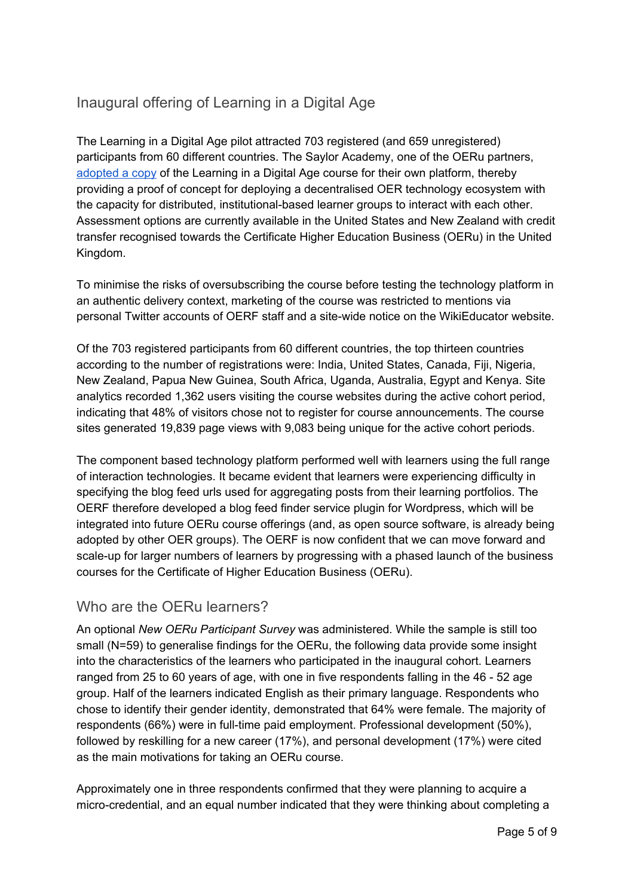#### Inaugural offering of Learning in a Digital Age

The Learning in a Digital Age pilot attracted 703 registered (and 659 unregistered) participants from 60 different countries. The Saylor Academy, one of the OERu partners, [adopted](https://www.saylor.org/2018/03/blog-new-course-learning-in-a-digital-age/) a copy of the Learning in a Digital Age course for their own platform, thereby providing a proof of concept for deploying a decentralised OER technology ecosystem with the capacity for distributed, institutional-based learner groups to interact with each other. Assessment options are currently available in the United States and New Zealand with credit transfer recognised towards the Certificate Higher Education Business (OERu) in the United Kingdom.

To minimise the risks of oversubscribing the course before testing the technology platform in an authentic delivery context, marketing of the course was restricted to mentions via personal Twitter accounts of OERF staff and a site-wide notice on the WikiEducator website.

Of the 703 registered participants from 60 different countries, the top thirteen countries according to the number of registrations were: India, United States, Canada, Fiji, Nigeria, New Zealand, Papua New Guinea, South Africa, Uganda, Australia, Egypt and Kenya. Site analytics recorded 1,362 users visiting the course websites during the active cohort period, indicating that 48% of visitors chose not to register for course announcements. The course sites generated 19,839 page views with 9,083 being unique for the active cohort periods.

The component based technology platform performed well with learners using the full range of interaction technologies. It became evident that learners were experiencing difficulty in specifying the blog feed urls used for aggregating posts from their learning portfolios. The OERF therefore developed a blog feed finder service plugin for Wordpress, which will be integrated into future OERu course offerings (and, as open source software, is already being adopted by other OER groups). The OERF is now confident that we can move forward and scale-up for larger numbers of learners by progressing with a phased launch of the business courses for the Certificate of Higher Education Business (OERu).

#### Who are the OERu learners?

An optional *New OERu Participant Survey* was administered*.* While the sample is still too small (N=59) to generalise findings for the OERu, the following data provide some insight into the characteristics of the learners who participated in the inaugural cohort. Learners ranged from 25 to 60 years of age, with one in five respondents falling in the 46 - 52 age group. Half of the learners indicated English as their primary language. Respondents who chose to identify their gender identity, demonstrated that 64% were female. The majority of respondents (66%) were in full-time paid employment. Professional development (50%), followed by reskilling for a new career (17%), and personal development (17%) were cited as the main motivations for taking an OERu course.

Approximately one in three respondents confirmed that they were planning to acquire a micro-credential, and an equal number indicated that they were thinking about completing a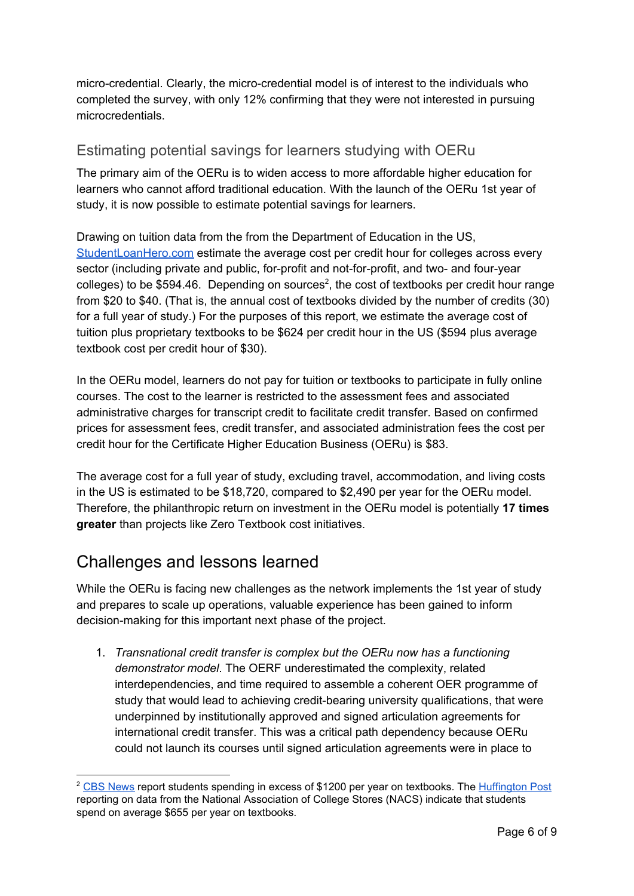micro-credential. Clearly, the micro-credential model is of interest to the individuals who completed the survey, with only 12% confirming that they were not interested in pursuing microcredentials.

#### Estimating potential savings for learners studying with OERu

The primary aim of the OERu is to widen access to more affordable higher education for learners who cannot afford traditional education. With the launch of the OERu 1st year of study, it is now possible to estimate potential savings for learners.

Drawing on tuition data from the from the Department of Education in the US, [StudentLoanHero.com](https://studentloanhero.com/featured/cost-per-credit-hour-study/) estimate the average cost per credit hour for colleges across every sector (including private and public, for-profit and not-for-profit, and two- and four-year colleges) to be \$594.46. Depending on sources<sup>2</sup>, the cost of textbooks per credit hour range from \$20 to \$40. (That is, the annual cost of textbooks divided by the number of credits (30) for a full year of study.) For the purposes of this report, we estimate the average cost of tuition plus proprietary textbooks to be \$624 per credit hour in the US (\$594 plus average textbook cost per credit hour of \$30).

In the OERu model, learners do not pay for tuition or textbooks to participate in fully online courses. The cost to the learner is restricted to the assessment fees and associated administrative charges for transcript credit to facilitate credit transfer. Based on confirmed prices for assessment fees, credit transfer, and associated administration fees the cost per credit hour for the Certificate Higher Education Business (OERu) is \$83.

The average cost for a full year of study, excluding travel, accommodation, and living costs in the US is estimated to be \$18,720, compared to \$2,490 per year for the OERu model. Therefore, the philanthropic return on investment in the OERu model is potentially **17 times greater** than projects like Zero Textbook cost initiatives.

#### Challenges and lessons learned

While the OERu is facing new challenges as the network implements the 1st year of study and prepares to scale up operations, valuable experience has been gained to inform decision-making for this important next phase of the project.

1. *Transnational credit transfer is complex but the OERu now has a functioning demonstrator model*. The OERF underestimated the complexity, related interdependencies, and time required to assemble a coherent OER programme of study that would lead to achieving credit-bearing university qualifications, that were underpinned by institutionally approved and signed articulation agreements for international credit transfer. This was a critical path dependency because OERu could not launch its courses until signed articulation agreements were in place to

<sup>&</sup>lt;sup>2</sup> CBS [News](https://www.cbsnews.com/news/whats-behind-the-soaring-cost-of-college-textbooks/) report students spending in excess of \$1200 per year on textbooks. The [Huffington](http://www.irrodl.org/index.php/irrodl/article/view/3012/4214) Post reporting on data from the National Association of College Stores (NACS) indicate that students spend on average \$655 per year on textbooks.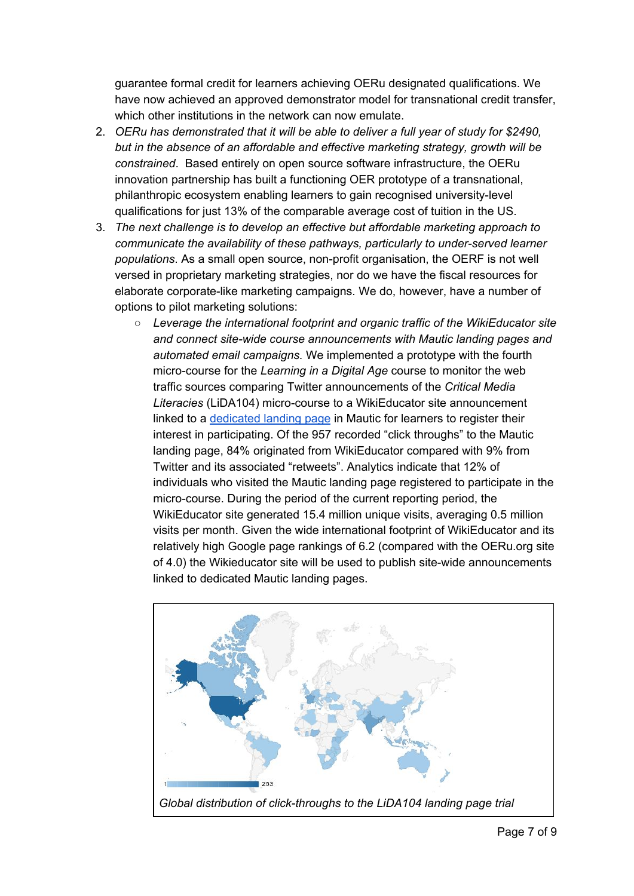guarantee formal credit for learners achieving OERu designated qualifications. We have now achieved an approved demonstrator model for transnational credit transfer, which other institutions in the network can now emulate.

- 2. *OERu has demonstrated that it will be able to deliver a full year of study for \$2490, but in the absence of an affordable and effective marketing strategy, growth will be constrained*. Based entirely on open source software infrastructure, the OERu innovation partnership has built a functioning OER prototype of a transnational, philanthropic ecosystem enabling learners to gain recognised university-level qualifications for just 13% of the comparable average cost of tuition in the US.
- 3. *The next challenge is to develop an effective but affordable marketing approach to communicate the availability of these pathways, particularly to under-served learner populations*. As a small open source, non-profit organisation, the OERF is not well versed in proprietary marketing strategies, nor do we have the fiscal resources for elaborate corporate-like marketing campaigns. We do, however, have a number of options to pilot marketing solutions:
	- *Leverage the international footprint and organic traffic of the WikiEducator site and connect site-wide course announcements with Mautic landing pages and automated email campaigns.* We implemented a prototype with the fourth micro-course for the *Learning in a Digital Age* course to monitor the web traffic sources comparing Twitter announcements of the *Critical Media Literacies* (LiDA104) micro-course to a WikiEducator site announcement linked to a [dedicated](https://mautic.oeru.org/lida104-landing-page) landing page in Mautic for learners to register their interest in participating. Of the 957 recorded "click throughs" to the Mautic landing page, 84% originated from WikiEducator compared with 9% from Twitter and its associated "retweets". Analytics indicate that 12% of individuals who visited the Mautic landing page registered to participate in the micro-course. During the period of the current reporting period, the WikiEducator site generated 15.4 million unique visits, averaging 0.5 million visits per month. Given the wide international footprint of WikiEducator and its relatively high Google page rankings of 6.2 (compared with the OERu.org site of 4.0) the Wikieducator site will be used to publish site-wide announcements linked to dedicated Mautic landing pages.

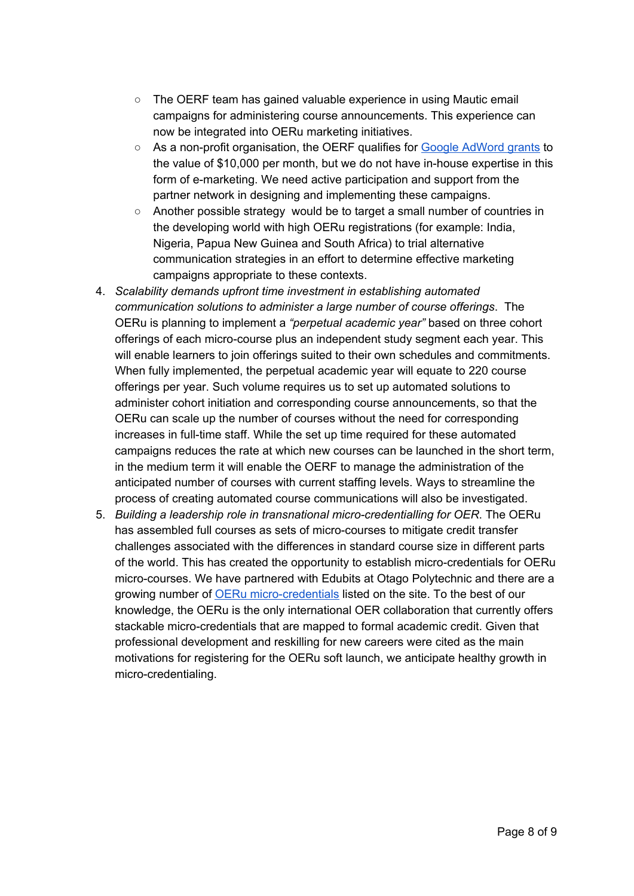- The OERF team has gained valuable experience in using Mautic email campaigns for administering course announcements. This experience can now be integrated into OERu marketing initiatives.
- As a non-profit organisation, the OERF qualifies for Google [AdWord](https://www.google.co.nz/intl/en/grants/) grants to the value of \$10,000 per month, but we do not have in-house expertise in this form of e-marketing. We need active participation and support from the partner network in designing and implementing these campaigns.
- Another possible strategy would be to target a small number of countries in the developing world with high OERu registrations (for example: India, Nigeria, Papua New Guinea and South Africa) to trial alternative communication strategies in an effort to determine effective marketing campaigns appropriate to these contexts.
- 4. *Scalability demands upfront time investment in establishing automated communication solutions to administer a large number of course offerings*. The OERu is planning to implement a *"perpetual academic year"* based on three cohort offerings of each micro-course plus an independent study segment each year. This will enable learners to join offerings suited to their own schedules and commitments. When fully implemented, the perpetual academic year will equate to 220 course offerings per year. Such volume requires us to set up automated solutions to administer cohort initiation and corresponding course announcements, so that the OERu can scale up the number of courses without the need for corresponding increases in full-time staff. While the set up time required for these automated campaigns reduces the rate at which new courses can be launched in the short term, in the medium term it will enable the OERF to manage the administration of the anticipated number of courses with current staffing levels. Ways to streamline the process of creating automated course communications will also be investigated.
- 5. *Building a leadership role in transnational micro-credentialling for OER*. The OERu has assembled full courses as sets of micro-courses to mitigate credit transfer challenges associated with the differences in standard course size in different parts of the world. This has created the opportunity to establish micro-credentials for OERu micro-courses. We have partnered with Edubits at Otago Polytechnic and there are a growing number of **OERu [micro-credentials](https://edubits.nz/edubits/#OERU)** listed on the site. To the best of our knowledge, the OERu is the only international OER collaboration that currently offers stackable micro-credentials that are mapped to formal academic credit. Given that professional development and reskilling for new careers were cited as the main motivations for registering for the OERu soft launch, we anticipate healthy growth in micro-credentialing.